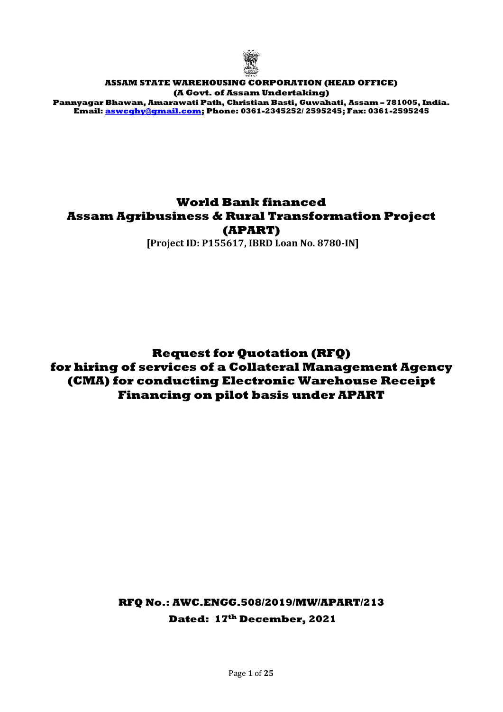

### **ASSAM STATE WAREHOUSING CORPORATION (HEAD OFFICE) (A Govt. of Assam Undertaking)**

**Pannyagar Bhawan, Amarawati Path, Christian Basti, Guwahati, Assam – 781005, India. Email[: aswcghy@gmail.com;](mailto:aswcghy@gmail.com) Phone: 0361-2345252/ 2595245; Fax: 0361-2595245**

# **World Bank financed Assam Agribusiness & Rural Transformation Project (APART)**

**[Project ID: P155617, IBRD Loan No. 8780-IN]**

**Request for Quotation (RFQ) for hiring of services of a Collateral Management Agency (CMA) for conducting Electronic Warehouse Receipt Financing on pilot basis under APART**

> **RFQ No.: AWC.ENGG.508/2019/MW/APART/213 Dated: 17th December, 2021**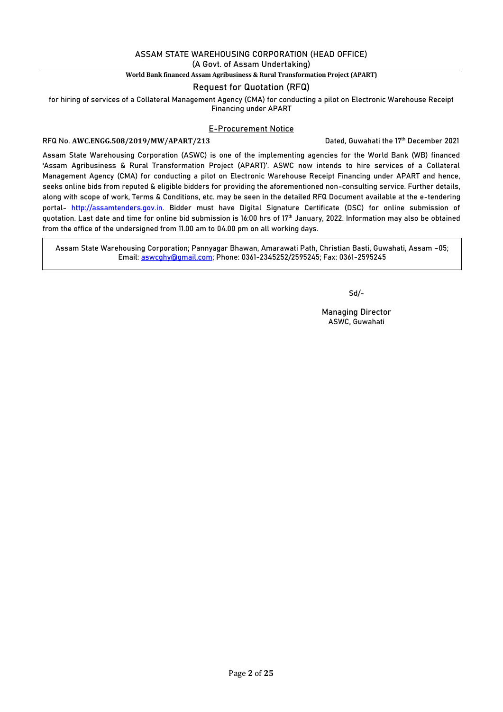# **ASSAM STATE WAREHOUSING CORPORATION (HEAD OFFICE)**

**(A Govt. of Assam Undertaking)**

### **World Bank financed Assam Agribusiness & Rural Transformation Project (APART)**

### **Request for Quotation (RFQ)**

**for hiring of services of a Collateral Management Agency (CMA) for conducting a pilot on Electronic Warehouse Receipt Financing under APART**

### **E-Procurement Notice**

**RFQ No. AWC.ENGG.508/2019/MW/APART/213 Dated, Guwahati the 17th December 2021**

Assam State Warehousing Corporation (ASWC) is one of the implementing agencies for the World Bank (WB) financed 'Assam Agribusiness & Rural Transformation Project (APART)'. ASWC now intends to hire services of a Collateral Management Agency (CMA) for conducting a pilot on **Electronic Warehouse Receipt Financing** under APART and hence, seeks online bids from reputed & eligible bidders for providing the aforementioned non-consulting service. Further details, along with scope of work, Terms & Conditions, etc. may be seen in the detailed RFQ Document available at the e-tendering portal- [http://assamtenders.gov.in.](http://assamtenders.gov.in/) Bidder must have Digital Signature Certificate (DSC) for online submission of quotation. Last date and time for online bid submission is 16:00 hrs of **17th** J**anuary, 2022**. Information may also be obtained from the office of the undersigned from 11.00 am to 04.00 pm on all working days.

**Assam State Warehousing Corporation; Pannyagar Bhawan, Amarawati Path, Christian Basti, Guwahati, Assam –05; Email: [aswcghy@gmail.com;](mailto:aswcghy@gmail.com) Phone: 0361-2345252/2595245; Fax: 0361-2595245**

**Sd/-**

**Managing Director ASWC, Guwahati**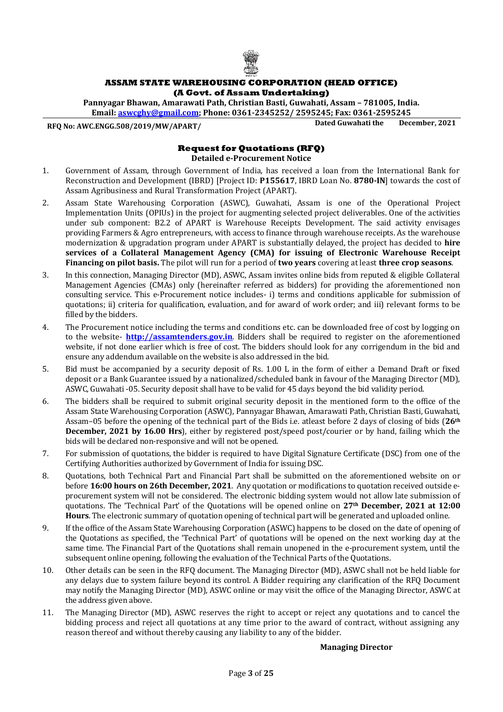

### **ASSAM STATE WAREHOUSING CORPORATION (HEAD OFFICE) (A Govt. of Assam Undertaking)**

**Pannyagar Bhawan, Amarawati Path, Christian Basti, Guwahati, Assam – 781005, India. Email: [aswcghy@gmail.com;](mailto:aswcghy@gmail.com) Phone: 0361-2345252/ 2595245; Fax: 0361-2595245**

**RFQ No: AWC.ENGG.508/2019/MW/APART/ Dated Guwahati the December, 2021**

### **Request for Quotations (RFQ) Detailed e-Procurement Notice**

- 1. Government of Assam, through Government of India, has received a loan from the International Bank for Reconstruction and Development (IBRD) [Project ID: **P155617**, IBRD Loan No. **8780-IN**] towards the cost of Assam Agribusiness and Rural Transformation Project (APART).
- 2. Assam State Warehousing Corporation (ASWC), Guwahati, Assam is one of the Operational Project Implementation Units (OPIUs) in the project for augmenting selected project deliverables. One of the activities under sub component: B2.2 of APART is Warehouse Receipts Development. The said activity envisages providing Farmers & Agro entrepreneurs, with access to finance through warehouse receipts. As the warehouse modernization & upgradation program under APART is substantially delayed, the project has decided to **hire services of a Collateral Management Agency (CMA) for issuing of Electronic Warehouse Receipt Financing on pilot basis.** The pilot will run for a period of **two years** covering at least **three crop seasons**.
- 3. In this connection, Managing Director (MD), ASWC, Assam invites online bids from reputed & eligible Collateral Management Agencies (CMAs) only (hereinafter referred as bidders) for providing the aforementioned non consulting service. This e-Procurement notice includes- i) terms and conditions applicable for submission of quotations; ii) criteria for qualification, evaluation, and for award of work order; and iii) relevant forms to be filled by the bidders.
- 4. The Procurement notice including the terms and conditions etc. can be downloaded free of cost by logging on to the website- **[http://assamtenders.gov.in](http://assamtenders.gov.in/)**. Bidders shall be required to register on the aforementioned website, if not done earlier which is free of cost. The bidders should look for any corrigendum in the bid and ensure any addendum available on the website is also addressed in the bid.
- 5. Bid must be accompanied by a security deposit of Rs. 1.00 L in the form of either a Demand Draft or fixed deposit or a Bank Guarantee issued by a nationalized/scheduled bank in favour of the Managing Director (MD), ASWC, Guwahati -05. Security deposit shall have to be valid for 45 days beyond the bid validity period.
- 6. The bidders shall be required to submit original security deposit in the mentioned form to the office of the Assam State Warehousing Corporation (ASWC), Pannyagar Bhawan, Amarawati Path, Christian Basti, Guwahati, Assam–05 before the opening of the technical part of the Bids i.e. atleast before 2 days of closing of bids (**26th December, 2021 by 16.00 Hrs**), either by registered post/speed post/courier or by hand, failing which the bids will be declared non-responsive and will not be opened.
- 7. For submission of quotations, the bidder is required to have Digital Signature Certificate (DSC) from one of the Certifying Authorities authorized by Government of India for issuing DSC.
- 8. Quotations, both Technical Part and Financial Part shall be submitted on the aforementioned website on or before **16:00 hours on 26th December, 2021**. Any quotation or modifications to quotation received outside eprocurement system will not be considered. The electronic bidding system would not allow late submission of quotations. The 'Technical Part' of the Quotations will be opened online on **27th December, 2021 at 12:00 Hours**. The electronic summary of quotation opening of technical part will be generated and uploaded online.
- 9. If the office of the Assam State Warehousing Corporation (ASWC) happens to be closed on the date of opening of the Quotations as specified, the 'Technical Part' of quotations will be opened on the next working day at the same time. The Financial Part of the Quotations shall remain unopened in the e-procurement system, until the subsequent online opening, following the evaluation of the Technical Parts of the Quotations.
- 10. Other details can be seen in the RFQ document. The Managing Director (MD), ASWC shall not be held liable for any delays due to system failure beyond its control. A Bidder requiring any clarification of the RFQ Document may notify the Managing Director (MD), ASWC online or may visit the office of the Managing Director, ASWC at the address given above.
- 11. The Managing Director (MD), ASWC reserves the right to accept or reject any quotations and to cancel the bidding process and reject all quotations at any time prior to the award of contract, without assigning any reason thereof and without thereby causing any liability to any of the bidder.

### **Managing Director**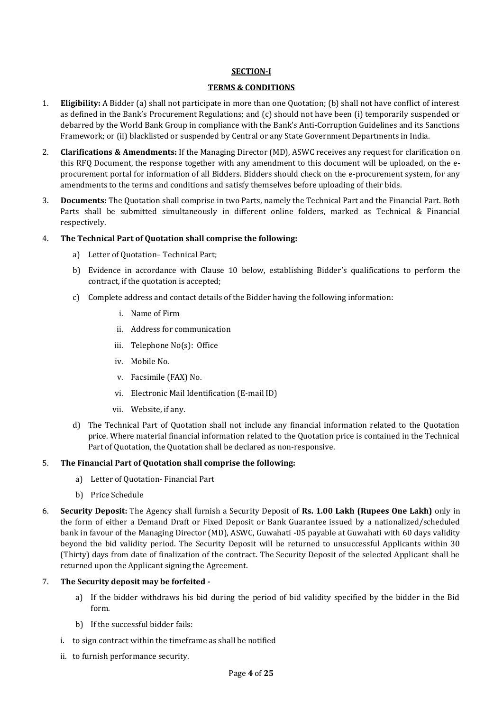### **SECTION-I**

### **TERMS & CONDITIONS**

- 1. **Eligibility:** A Bidder (a) shall not participate in more than one Quotation; (b) shall not have conflict of interest as defined in the Bank's Procurement Regulations; and (c) should not have been (i) temporarily suspended or debarred by the World Bank Group in compliance with the Bank's Anti-Corruption Guidelines and its Sanctions Framework; or (ii) blacklisted or suspended by Central or any State Government Departments in India.
- 2. **Clarifications & Amendments:** If the Managing Director (MD), ASWC receives any request for clarification on this RFQ Document, the response together with any amendment to this document will be uploaded, on the eprocurement portal for information of all Bidders. Bidders should check on the e-procurement system, for any amendments to the terms and conditions and satisfy themselves before uploading of their bids.
- 3. **Documents:** The Quotation shall comprise in two Parts, namely the Technical Part and the Financial Part. Both Parts shall be submitted simultaneously in different online folders, marked as Technical & Financial respectively.

### 4. **The Technical Part of Quotation shall comprise the following:**

- a) Letter of Quotation– Technical Part;
- b) Evidence in accordance with Clause 10 below, establishing Bidder's qualifications to perform the contract, if the quotation is accepted;
- c) Complete address and contact details of the Bidder having the following information:
	- i. Name of Firm
	- ii. Address for communication
	- iii. Telephone No(s): Office
	- iv. Mobile No.
	- v. Facsimile (FAX) No.
	- vi. Electronic Mail Identification (E-mail ID)
	- vii. Website, if any.
- d) The Technical Part of Quotation shall not include any financial information related to the Quotation price. Where material financial information related to the Quotation price is contained in the Technical Part of Quotation, the Quotation shall be declared as non-responsive.

### 5. **The Financial Part of Quotation shall comprise the following:**

- a) Letter of Quotation- Financial Part
- b) Price Schedule
- 6. **Security Deposit:** The Agency shall furnish a Security Deposit of **Rs. 1.00 Lakh (Rupees One Lakh)** only in the form of either a Demand Draft or Fixed Deposit or Bank Guarantee issued by a nationalized/scheduled bank in favour of the Managing Director (MD), ASWC, Guwahati -05 payable at Guwahati with 60 days validity beyond the bid validity period. The Security Deposit will be returned to unsuccessful Applicants within 30 (Thirty) days from date of finalization of the contract. The Security Deposit of the selected Applicant shall be returned upon the Applicant signing the Agreement.

### 7. **The Security deposit may be forfeited -**

- a) If the bidder withdraws his bid during the period of bid validity specified by the bidder in the Bid form.
- b) If the successful bidder fails:
- i. to sign contract within the timeframe as shall be notified
- ii. to furnish performance security.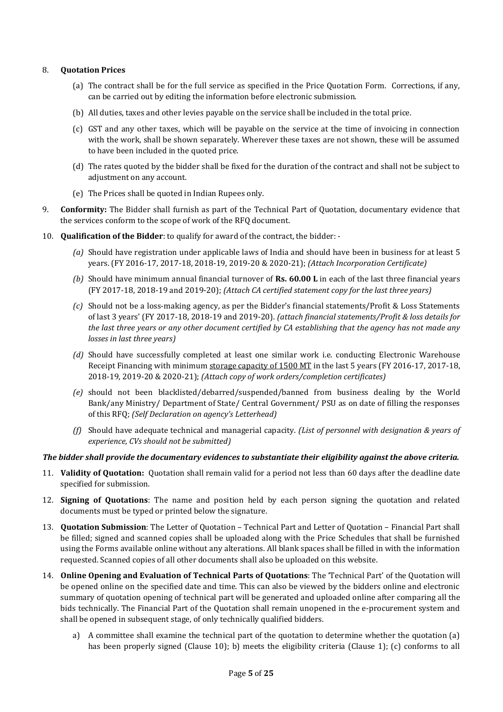### 8. **Quotation Prices**

- (a) The contract shall be for the full service as specified in the Price Quotation Form. Corrections, if any, can be carried out by editing the information before electronic submission.
- (b) All duties, taxes and other levies payable on the service shall be included in the total price.
- (c) GST and any other taxes, which will be payable on the service at the time of invoicing in connection with the work, shall be shown separately. Wherever these taxes are not shown, these will be assumed to have been included in the quoted price.
- (d) The rates quoted by the bidder shall be fixed for the duration of the contract and shall not be subject to adjustment on any account.
- (e) The Prices shall be quoted in Indian Rupees only.
- 9. **Conformity:** The Bidder shall furnish as part of the Technical Part of Quotation, documentary evidence that the services conform to the scope of work of the RFQ document.
- 10. **Qualification of the Bidder**: to qualify for award of the contract, the bidder:
	- *(a)* Should have registration under applicable laws of India and should have been in business for at least 5 years. (FY 2016-17, 2017-18, 2018-19, 2019-20 & 2020-21); *(Attach Incorporation Certificate)*
	- *(b)* Should have minimum annual financial turnover of **Rs. 60.00 L** in each of the last three financial years (FY 2017-18, 2018-19 and 2019-20); *(Attach CA certified statement copy for the last three years)*
	- *(c)* Should not be a loss-making agency, as per the Bidder's financial statements/Profit & Loss Statements of last 3 years' (FY 2017-18, 2018-19 and 2019-20). *(attach financial statements/Profit & loss details for the last three years or any other document certified by CA establishing that the agency has not made any losses in last three years)*
	- *(d)* Should have successfully completed at least one similar work i.e. conducting Electronic Warehouse Receipt Financing with minimum storage capacity of 1500 MT in the last 5 years (FY 2016-17, 2017-18, 2018-19, 2019-20 & 2020-21); *(Attach copy of work orders/completion certificates)*
	- *(e)* should not been blacklisted/debarred/suspended/banned from business dealing by the World Bank/any Ministry/ Department of State/ Central Government/ PSU as on date of filling the responses of this RFQ; *(Self Declaration on agency's Letterhead)*
	- *(f)* Should have adequate technical and managerial capacity. *(List of personnel with designation & years of experience, CVs should not be submitted)*

### *The bidder shall provide the documentary evidences to substantiate their eligibility against the above criteria.*

- 11. **Validity of Quotation:** Quotation shall remain valid for a period not less than 60 days after the deadline date specified for submission.
- 12. **Signing of Quotations**: The name and position held by each person signing the quotation and related documents must be typed or printed below the signature.
- 13. **Quotation Submission**: The Letter of Quotation Technical Part and Letter of Quotation Financial Part shall be filled; signed and scanned copies shall be uploaded along with the Price Schedules that shall be furnished using the Forms available online without any alterations. All blank spaces shall be filled in with the information requested. Scanned copies of all other documents shall also be uploaded on this website.
- 14. **Online Opening and Evaluation of Technical Parts of Quotations**: The 'Technical Part' of the Quotation will be opened online on the specified date and time. This can also be viewed by the bidders online and electronic summary of quotation opening of technical part will be generated and uploaded online after comparing all the bids technically. The Financial Part of the Quotation shall remain unopened in the e-procurement system and shall be opened in subsequent stage, of only technically qualified bidders.
	- a) A committee shall examine the technical part of the quotation to determine whether the quotation (a) has been properly signed (Clause 10); b) meets the eligibility criteria (Clause 1); (c) conforms to all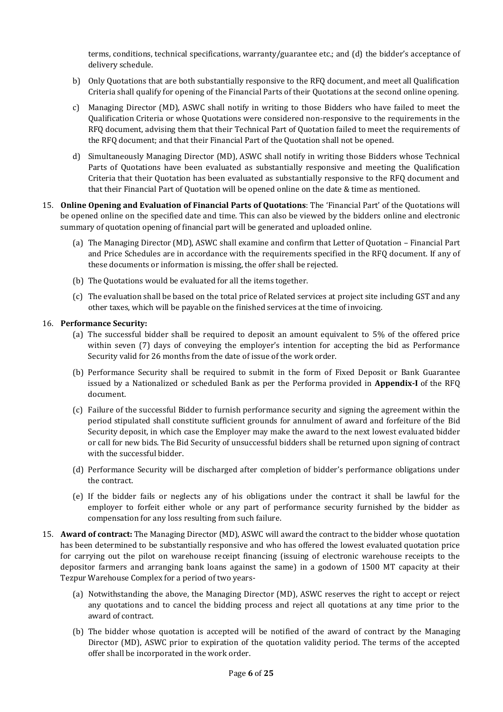terms, conditions, technical specifications, warranty/guarantee etc.; and (d) the bidder's acceptance of delivery schedule.

- b) Only Quotations that are both substantially responsive to the RFQ document, and meet all Qualification Criteria shall qualify for opening of the Financial Parts of their Quotations at the second online opening.
- c) Managing Director (MD), ASWC shall notify in writing to those Bidders who have failed to meet the Qualification Criteria or whose Quotations were considered non-responsive to the requirements in the RFQ document, advising them that their Technical Part of Quotation failed to meet the requirements of the RFQ document; and that their Financial Part of the Quotation shall not be opened.
- d) Simultaneously Managing Director (MD), ASWC shall notify in writing those Bidders whose Technical Parts of Quotations have been evaluated as substantially responsive and meeting the Qualification Criteria that their Quotation has been evaluated as substantially responsive to the RFQ document and that their Financial Part of Quotation will be opened online on the date & time as mentioned.
- 15. **Online Opening and Evaluation of Financial Parts of Quotations**: The 'Financial Part' of the Quotations will be opened online on the specified date and time. This can also be viewed by the bidders online and electronic summary of quotation opening of financial part will be generated and uploaded online.
	- (a) The Managing Director (MD), ASWC shall examine and confirm that Letter of Quotation Financial Part and Price Schedules are in accordance with the requirements specified in the RFQ document. If any of these documents or information is missing, the offer shall be rejected.
	- (b) The Quotations would be evaluated for all the items together.
	- (c) The evaluation shall be based on the total price of Related services at project site including GST and any other taxes, which will be payable on the finished services at the time of invoicing.

### 16. **Performance Security:**

- (a) The successful bidder shall be required to deposit an amount equivalent to 5% of the offered price within seven (7) days of conveying the employer's intention for accepting the bid as Performance Security valid for 26 months from the date of issue of the work order.
- (b) Performance Security shall be required to submit in the form of Fixed Deposit or Bank Guarantee issued by a Nationalized or scheduled Bank as per the Performa provided in **Appendix-I** of the RFQ document.
- (c) Failure of the successful Bidder to furnish performance security and signing the agreement within the period stipulated shall constitute sufficient grounds for annulment of award and forfeiture of the Bid Security deposit, in which case the Employer may make the award to the next lowest evaluated bidder or call for new bids. The Bid Security of unsuccessful bidders shall be returned upon signing of contract with the successful bidder.
- (d) Performance Security will be discharged after completion of bidder's performance obligations under the contract.
- (e) If the bidder fails or neglects any of his obligations under the contract it shall be lawful for the employer to forfeit either whole or any part of performance security furnished by the bidder as compensation for any loss resulting from such failure.
- 15. **Award of contract:** The Managing Director (MD), ASWC will award the contract to the bidder whose quotation has been determined to be substantially responsive and who has offered the lowest evaluated quotation price for carrying out the pilot on warehouse receipt financing (issuing of electronic warehouse receipts to the depositor farmers and arranging bank loans against the same) in a godown of 1500 MT capacity at their Tezpur Warehouse Complex for a period of two years-
	- (a) Notwithstanding the above, the Managing Director (MD), ASWC reserves the right to accept or reject any quotations and to cancel the bidding process and reject all quotations at any time prior to the award of contract.
	- (b) The bidder whose quotation is accepted will be notified of the award of contract by the Managing Director (MD), ASWC prior to expiration of the quotation validity period. The terms of the accepted offer shall be incorporated in the work order.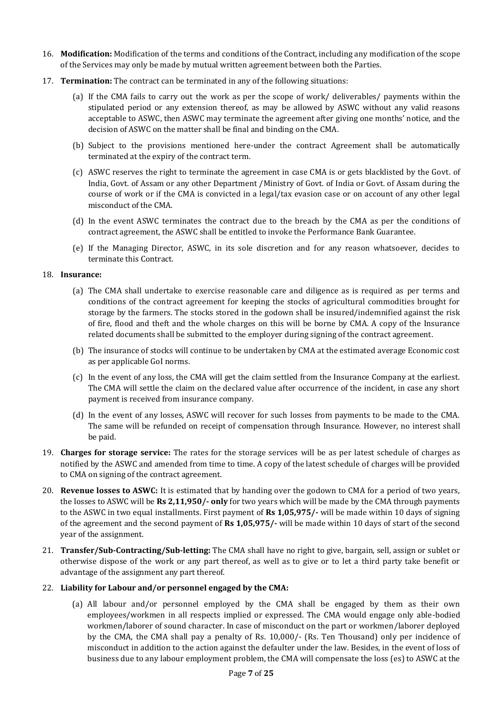- 16. **Modification:** Modification of the terms and conditions of the Contract, including any modification of the scope of the Services may only be made by mutual written agreement between both the Parties.
- 17. **Termination:** The contract can be terminated in any of the following situations:
	- (a) If the CMA fails to carry out the work as per the scope of work/ deliverables/ payments within the stipulated period or any extension thereof, as may be allowed by ASWC without any valid reasons acceptable to ASWC, then ASWC may terminate the agreement after giving one months' notice, and the decision of ASWC on the matter shall be final and binding on the CMA.
	- (b) Subject to the provisions mentioned here-under the contract Agreement shall be automatically terminated at the expiry of the contract term.
	- (c) ASWC reserves the right to terminate the agreement in case CMA is or gets blacklisted by the Govt. of India, Govt. of Assam or any other Department /Ministry of Govt. of India or Govt. of Assam during the course of work or if the CMA is convicted in a legal/tax evasion case or on account of any other legal misconduct of the CMA.
	- (d) In the event ASWC terminates the contract due to the breach by the CMA as per the conditions of contract agreement, the ASWC shall be entitled to invoke the Performance Bank Guarantee.
	- (e) If the Managing Director, ASWC, in its sole discretion and for any reason whatsoever, decides to terminate this Contract.

### 18. **Insurance:**

- (a) The CMA shall undertake to exercise reasonable care and diligence as is required as per terms and conditions of the contract agreement for keeping the stocks of agricultural commodities brought for storage by the farmers. The stocks stored in the godown shall be insured/indemnified against the risk of fire, flood and theft and the whole charges on this will be borne by CMA. A copy of the Insurance related documents shall be submitted to the employer during signing of the contract agreement.
- (b) The insurance of stocks will continue to be undertaken by CMA at the estimated average Economic cost as per applicable GoI norms.
- (c) In the event of any loss, the CMA will get the claim settled from the Insurance Company at the earliest. The CMA will settle the claim on the declared value after occurrence of the incident, in case any short payment is received from insurance company.
- (d) In the event of any losses, ASWC will recover for such losses from payments to be made to the CMA. The same will be refunded on receipt of compensation through Insurance. However, no interest shall be paid.
- 19. **Charges for storage service:** The rates for the storage services will be as per latest schedule of charges as notified by the ASWC and amended from time to time. A copy of the latest schedule of charges will be provided to CMA on signing of the contract agreement.
- 20. **Revenue losses to ASWC:** It is estimated that by handing over the godown to CMA for a period of two years, the losses to ASWC will be **Rs 2,11,950/- only** for two years which will be made by the CMA through payments to the ASWC in two equal installments. First payment of **Rs 1,05,975/-** will be made within 10 days of signing of the agreement and the second payment of **Rs 1,05,975/-** will be made within 10 days of start of the second year of the assignment.
- 21. **Transfer/Sub-Contracting/Sub-letting:** The CMA shall have no right to give, bargain, sell, assign or sublet or otherwise dispose of the work or any part thereof, as well as to give or to let a third party take benefit or advantage of the assignment any part thereof.

### 22. **Liability for Labour and/or personnel engaged by the CMA:**

(a) All labour and/or personnel employed by the CMA shall be engaged by them as their own employees/workmen in all respects implied or expressed. The CMA would engage only able-bodied workmen/laborer of sound character. In case of misconduct on the part or workmen/laborer deployed by the CMA, the CMA shall pay a penalty of Rs. 10,000/- (Rs. Ten Thousand) only per incidence of misconduct in addition to the action against the defaulter under the law. Besides, in the event of loss of business due to any labour employment problem, the CMA will compensate the loss (es) to ASWC at the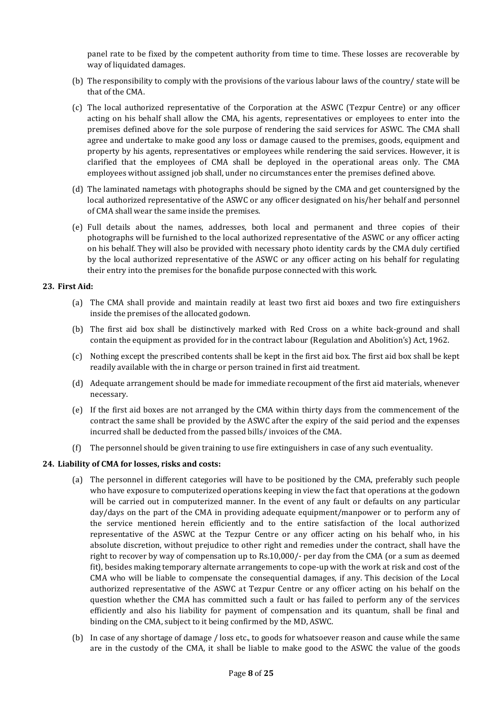panel rate to be fixed by the competent authority from time to time. These losses are recoverable by way of liquidated damages.

- (b) The responsibility to comply with the provisions of the various labour laws of the country/ state will be that of the CMA.
- (c) The local authorized representative of the Corporation at the ASWC (Tezpur Centre) or any officer acting on his behalf shall allow the CMA, his agents, representatives or employees to enter into the premises defined above for the sole purpose of rendering the said services for ASWC. The CMA shall agree and undertake to make good any loss or damage caused to the premises, goods, equipment and property by his agents, representatives or employees while rendering the said services. However, it is clarified that the employees of CMA shall be deployed in the operational areas only. The CMA employees without assigned job shall, under no circumstances enter the premises defined above.
- (d) The laminated nametags with photographs should be signed by the CMA and get countersigned by the local authorized representative of the ASWC or any officer designated on his/her behalf and personnel of CMA shall wear the same inside the premises.
- (e) Full details about the names, addresses, both local and permanent and three copies of their photographs will be furnished to the local authorized representative of the ASWC or any officer acting on his behalf. They will also be provided with necessary photo identity cards by the CMA duly certified by the local authorized representative of the ASWC or any officer acting on his behalf for regulating their entry into the premises for the bonafide purpose connected with this work.

### **23. First Aid:**

- (a) The CMA shall provide and maintain readily at least two first aid boxes and two fire extinguishers inside the premises of the allocated godown.
- (b) The first aid box shall be distinctively marked with Red Cross on a white back-ground and shall contain the equipment as provided for in the contract labour (Regulation and Abolition's) Act, 1962.
- (c) Nothing except the prescribed contents shall be kept in the first aid box. The first aid box shall be kept readily available with the in charge or person trained in first aid treatment.
- (d) Adequate arrangement should be made for immediate recoupment of the first aid materials, whenever necessary.
- (e) If the first aid boxes are not arranged by the CMA within thirty days from the commencement of the contract the same shall be provided by the ASWC after the expiry of the said period and the expenses incurred shall be deducted from the passed bills/ invoices of the CMA.
- (f) The personnel should be given training to use fire extinguishers in case of any such eventuality.

### **24. Liability of CMA for losses, risks and costs:**

- (a) The personnel in different categories will have to be positioned by the CMA, preferably such people who have exposure to computerized operations keeping in view the fact that operations at the godown will be carried out in computerized manner. In the event of any fault or defaults on any particular day/days on the part of the CMA in providing adequate equipment/manpower or to perform any of the service mentioned herein efficiently and to the entire satisfaction of the local authorized representative of the ASWC at the Tezpur Centre or any officer acting on his behalf who, in his absolute discretion, without prejudice to other right and remedies under the contract, shall have the right to recover by way of compensation up to Rs.10,000/- per day from the CMA (or a sum as deemed fit), besides making temporary alternate arrangements to cope-up with the work at risk and cost of the CMA who will be liable to compensate the consequential damages, if any. This decision of the Local authorized representative of the ASWC at Tezpur Centre or any officer acting on his behalf on the question whether the CMA has committed such a fault or has failed to perform any of the services efficiently and also his liability for payment of compensation and its quantum, shall be final and binding on the CMA, subject to it being confirmed by the MD, ASWC.
- (b) In case of any shortage of damage / loss etc., to goods for whatsoever reason and cause while the same are in the custody of the CMA, it shall be liable to make good to the ASWC the value of the goods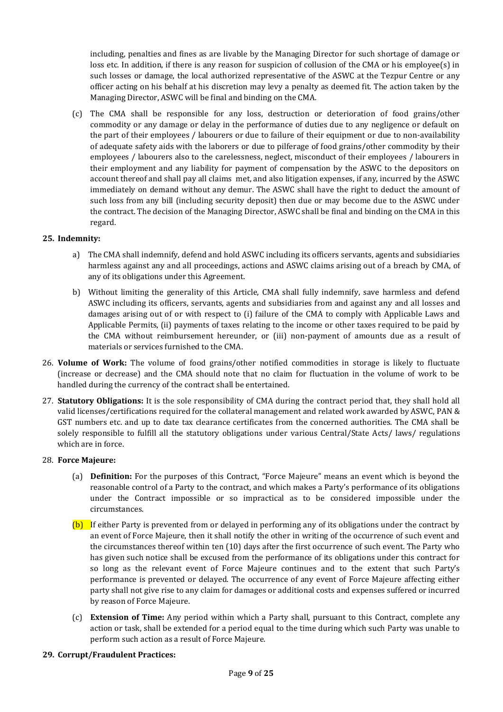including, penalties and fines as are livable by the Managing Director for such shortage of damage or loss etc. In addition, if there is any reason for suspicion of collusion of the CMA or his employee(s) in such losses or damage, the local authorized representative of the ASWC at the Tezpur Centre or any officer acting on his behalf at his discretion may levy a penalty as deemed fit. The action taken by the Managing Director, ASWC will be final and binding on the CMA.

(c) The CMA shall be responsible for any loss, destruction or deterioration of food grains/other commodity or any damage or delay in the performance of duties due to any negligence or default on the part of their employees / labourers or due to failure of their equipment or due to non-availability of adequate safety aids with the laborers or due to pilferage of food grains/other commodity by their employees / labourers also to the carelessness, neglect, misconduct of their employees / labourers in their employment and any liability for payment of compensation by the ASWC to the depositors on account thereof and shall pay all claims met, and also litigation expenses, if any, incurred by the ASWC immediately on demand without any demur. The ASWC shall have the right to deduct the amount of such loss from any bill (including security deposit) then due or may become due to the ASWC under the contract. The decision of the Managing Director, ASWC shall be final and binding on the CMA in this regard.

### **25. Indemnity:**

- a) The CMA shall indemnify, defend and hold ASWC including its officers servants, agents and subsidiaries harmless against any and all proceedings, actions and ASWC claims arising out of a breach by CMA, of any of its obligations under this Agreement.
- b) Without limiting the generality of this Article, CMA shall fully indemnify, save harmless and defend ASWC including its officers, servants, agents and subsidiaries from and against any and all losses and damages arising out of or with respect to (i) failure of the CMA to comply with Applicable Laws and Applicable Permits, (ii) payments of taxes relating to the income or other taxes required to be paid by the CMA without reimbursement hereunder, or (iii) non-payment of amounts due as a result of materials or services furnished to the CMA.
- 26. **Volume of Work:** The volume of food grains/other notified commodities in storage is likely to fluctuate (increase or decrease) and the CMA should note that no claim for fluctuation in the volume of work to be handled during the currency of the contract shall be entertained.
- 27. **Statutory Obligations:** It is the sole responsibility of CMA during the contract period that, they shall hold all valid licenses/certifications required for the collateral management and related work awarded by ASWC, PAN & GST numbers etc. and up to date tax clearance certificates from the concerned authorities. The CMA shall be solely responsible to fulfill all the statutory obligations under various Central/State Acts/ laws/ regulations which are in force.

### 28. **Force Majeure:**

- (a) **Definition:** For the purposes of this Contract, "Force Majeure" means an event which is beyond the reasonable control of a Party to the contract, and which makes a Party's performance of its obligations under the Contract impossible or so impractical as to be considered impossible under the circumstances.
- (b) If either Party is prevented from or delayed in performing any of its obligations under the contract by an event of Force Majeure, then it shall notify the other in writing of the occurrence of such event and the circumstances thereof within ten (10) days after the first occurrence of such event. The Party who has given such notice shall be excused from the performance of its obligations under this contract for so long as the relevant event of Force Majeure continues and to the extent that such Party's performance is prevented or delayed. The occurrence of any event of Force Majeure affecting either party shall not give rise to any claim for damages or additional costs and expenses suffered or incurred by reason of Force Majeure.
- (c) **Extension of Time:** Any period within which a Party shall, pursuant to this Contract, complete any action or task, shall be extended for a period equal to the time during which such Party was unable to perform such action as a result of Force Majeure.

### **29. Corrupt/Fraudulent Practices:**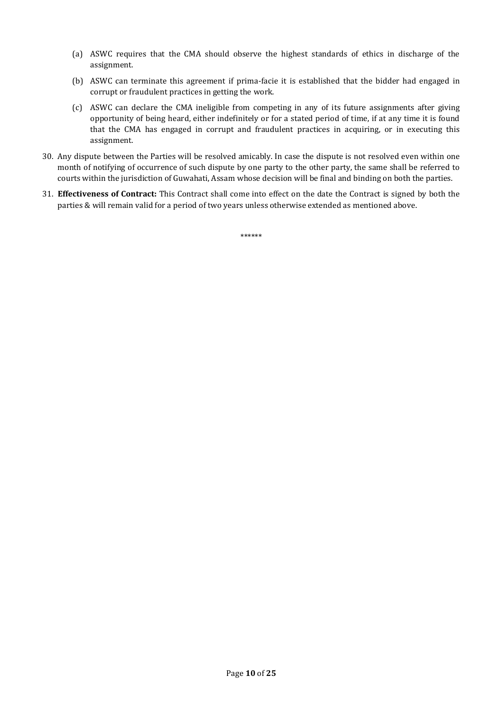- (a) ASWC requires that the CMA should observe the highest standards of ethics in discharge of the assignment.
- (b) ASWC can terminate this agreement if prima-facie it is established that the bidder had engaged in corrupt or fraudulent practices in getting the work.
- (c) ASWC can declare the CMA ineligible from competing in any of its future assignments after giving opportunity of being heard, either indefinitely or for a stated period of time, if at any time it is found that the CMA has engaged in corrupt and fraudulent practices in acquiring, or in executing this assignment.
- 30. Any dispute between the Parties will be resolved amicably. In case the dispute is not resolved even within one month of notifying of occurrence of such dispute by one party to the other party, the same shall be referred to courts within the jurisdiction of Guwahati, Assam whose decision will be final and binding on both the parties.
- 31. **Effectiveness of Contract:** This Contract shall come into effect on the date the Contract is signed by both the parties & will remain valid for a period of two years unless otherwise extended as mentioned above.

\*\*\*\*\*\*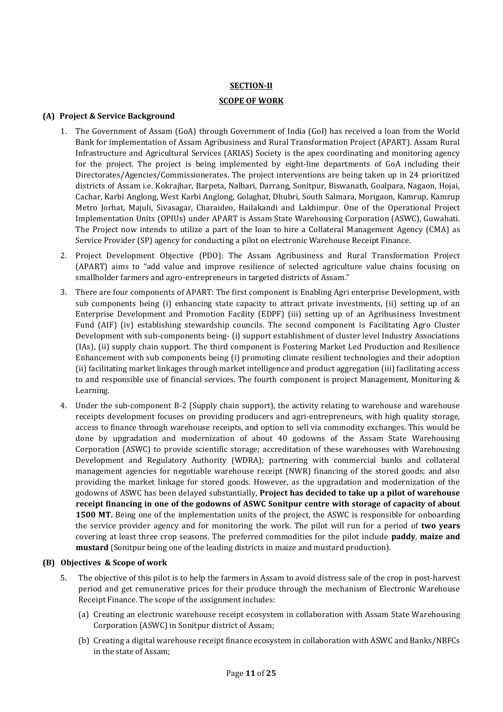### **SECTION-II**

### **SCOPE OF WORK**

### **(A) Project & Service Background**

- 1. The Government of Assam (GoA) through Government of India (GoI) has received a loan from the World Bank for implementation of Assam Agribusiness and Rural Transformation Project (APART). Assam Rural Infrastructure and Agricultural Services (ARIAS) Society is the apex coordinating and monitoring agency for the project. The project is being implemented by eight-line departments of GoA including their Directorates/Agencies/Commissionerates. The project interventions are being taken up in 24 prioritized districts of Assam i.e. Kokrajhar, Barpeta, Nalbari, Darrang, Sonitpur, Biswanath, Goalpara, Nagaon, Hojai, Cachar, Karbi Anglong, West Karbi Anglong, Golaghat, Dhubri, South Salmara, Morigaon, Kamrup, Kamrup Metro Jorhat, Majuli, Sivasagar, Charaideo, Hailakandi and Lakhimpur. One of the Operational Project Implementation Units (OPIUs) under APART is Assam State Warehousing Corporation (ASWC), Guwahati. The Project now intends to utilize a part of the loan to hire a Collateral Management Agency (CMA) as Service Provider (SP) agency for conducting a pilot on electronic Warehouse Receipt Finance.
- 2. Project Development Objective (PDO): The Assam Agribusiness and Rural Transformation Project (APART) aims to "add value and improve resilience of selected agriculture value chains focusing on smallholder farmers and agro-entrepreneurs in targeted districts of Assam."
- 3. There are four components of APART: The first component is Enabling Agri enterprise Development, with sub components being (i) enhancing state capacity to attract private investments, (ii) setting up of an Enterprise Development and Promotion Facility (EDPF) (iii) setting up of an Agribusiness Investment Fund (AIF) (iv) establishing stewardship councils. The second component is Facilitating Agro Cluster Development with sub-components being- (i) support establishment of cluster level Industry Associations (IAs), (ii) supply chain support. The third component is Fostering Market Led Production and Resilience Enhancement with sub components being (i) promoting climate resilient technologies and their adoption (ii) facilitating market linkages through market intelligence and product aggregation (iii) facilitating access to and responsible use of financial services. The fourth component is project Management, Monitoring & Learning.
- 4. Under the sub-component B-2 (Supply chain support), the activity relating to warehouse and warehouse receipts development focuses on providing producers and agri-entrepreneurs, with high quality storage, access to finance through warehouse receipts, and option to sell via commodity exchanges. This would be done by upgradation and modernization of about 40 godowns of the Assam State Warehousing Corporation (ASWC) to provide scientific storage; accreditation of these warehouses with Warehousing Development and Regulatory Authority (WDRA); partnering with commercial banks and collateral management agencies for negotiable warehouse receipt (NWR) financing of the stored goods; and also providing the market linkage for stored goods. However, as the upgradation and modernization of the godowns of ASWC has been delayed substantially, **Project has decided to take up a pilot of warehouse receipt financing in one of the godowns of ASWC Sonitpur centre with storage of capacity of about 1500 MT.** Being one of the implementation units of the project, the ASWC is responsible for onboarding the service provider agency and for monitoring the work. The pilot will run for a period of **two years** covering at least three crop seasons. The preferred commodities for the pilot include **paddy**, **maize and mustard** (Sonitpur being one of the leading districts in maize and mustard production).

### **(B) Objectives & Scope of work**

- 5. The objective of this pilot is to help the farmers in Assam to avoid distress sale of the crop in post-harvest period and get remunerative prices for their produce through the mechanism of Electronic Warehouse Receipt Finance. The scope of the assignment includes:
	- (a) Creating an electronic warehouse receipt ecosystem in collaboration with Assam State Warehousing Corporation (ASWC) in Sonitpur district of Assam;
	- (b) Creating a digital warehouse receipt finance ecosystem in collaboration with ASWC and Banks/NBFCs in the state of Assam;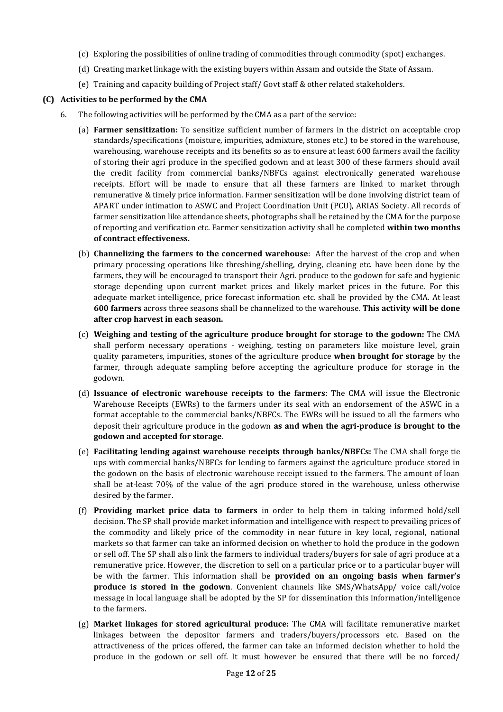- (c) Exploring the possibilities of online trading of commodities through commodity (spot) exchanges.
- (d) Creating market linkage with the existing buyers within Assam and outside the State of Assam.
- (e) Training and capacity building of Project staff/ Govt staff & other related stakeholders.

### **(C) Activities to be performed by the CMA**

- 6. The following activities will be performed by the CMA as a part of the service:
	- (a) **Farmer sensitization:** To sensitize sufficient number of farmers in the district on acceptable crop standards/specifications (moisture, impurities, admixture, stones etc.) to be stored in the warehouse, warehousing, warehouse receipts and its benefits so as to ensure at least 600 farmers avail the facility of storing their agri produce in the specified godown and at least 300 of these farmers should avail the credit facility from commercial banks/NBFCs against electronically generated warehouse receipts. Effort will be made to ensure that all these farmers are linked to market through remunerative & timely price information. Farmer sensitization will be done involving district team of APART under intimation to ASWC and Project Coordination Unit (PCU), ARIAS Society. All records of farmer sensitization like attendance sheets, photographs shall be retained by the CMA for the purpose of reporting and verification etc. Farmer sensitization activity shall be completed **within two months of contract effectiveness.**
	- (b) **Channelizing the farmers to the concerned warehouse**: After the harvest of the crop and when primary processing operations like threshing/shelling, drying, cleaning etc. have been done by the farmers, they will be encouraged to transport their Agri. produce to the godown for safe and hygienic storage depending upon current market prices and likely market prices in the future. For this adequate market intelligence, price forecast information etc. shall be provided by the CMA. At least **600 farmers** across three seasons shall be channelized to the warehouse. **This activity will be done after crop harvest in each season.**
	- (c) **Weighing and testing of the agriculture produce brought for storage to the godown:** The CMA shall perform necessary operations - weighing, testing on parameters like moisture level, grain quality parameters, impurities, stones of the agriculture produce **when brought for storage** by the farmer, through adequate sampling before accepting the agriculture produce for storage in the godown.
	- (d) **Issuance of electronic warehouse receipts to the farmers**: The CMA will issue the Electronic Warehouse Receipts (EWRs) to the farmers under its seal with an endorsement of the ASWC in a format acceptable to the commercial banks/NBFCs. The EWRs will be issued to all the farmers who deposit their agriculture produce in the godown **as and when the agri-produce is brought to the godown and accepted for storage**.
	- (e) **Facilitating lending against warehouse receipts through banks/NBFCs:** The CMA shall forge tie ups with commercial banks/NBFCs for lending to farmers against the agriculture produce stored in the godown on the basis of electronic warehouse receipt issued to the farmers. The amount of loan shall be at-least 70% of the value of the agri produce stored in the warehouse, unless otherwise desired by the farmer.
	- (f) **Providing market price data to farmers** in order to help them in taking informed hold/sell decision. The SP shall provide market information and intelligence with respect to prevailing prices of the commodity and likely price of the commodity in near future in key local, regional, national markets so that farmer can take an informed decision on whether to hold the produce in the godown or sell off. The SP shall also link the farmers to individual traders/buyers for sale of agri produce at a remunerative price. However, the discretion to sell on a particular price or to a particular buyer will be with the farmer. This information shall be **provided on an ongoing basis when farmer's produce is stored in the godown**. Convenient channels like SMS/WhatsApp/ voice call/voice message in local language shall be adopted by the SP for dissemination this information/intelligence to the farmers.
	- (g) **Market linkages for stored agricultural produce:** The CMA will facilitate remunerative market linkages between the depositor farmers and traders/buyers/processors etc. Based on the attractiveness of the prices offered, the farmer can take an informed decision whether to hold the produce in the godown or sell off. It must however be ensured that there will be no forced/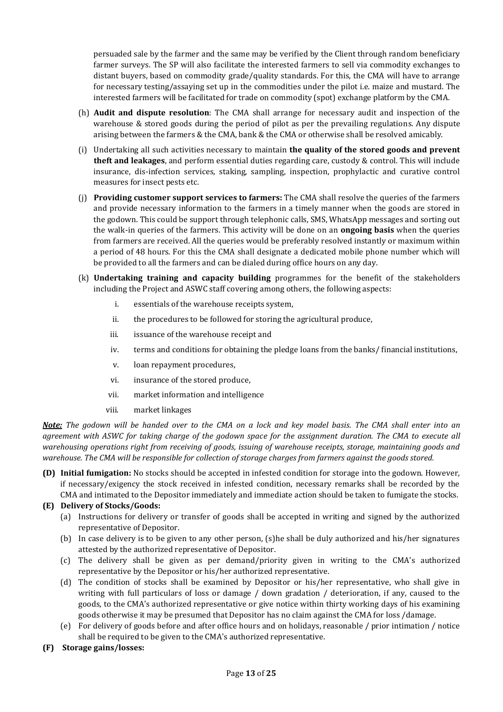persuaded sale by the farmer and the same may be verified by the Client through random beneficiary farmer surveys. The SP will also facilitate the interested farmers to sell via commodity exchanges to distant buyers, based on commodity grade/quality standards. For this, the CMA will have to arrange for necessary testing/assaying set up in the commodities under the pilot i.e. maize and mustard. The interested farmers will be facilitated for trade on commodity (spot) exchange platform by the CMA.

- (h) **Audit and dispute resolution**: The CMA shall arrange for necessary audit and inspection of the warehouse & stored goods during the period of pilot as per the prevailing regulations. Any dispute arising between the farmers & the CMA, bank & the CMA or otherwise shall be resolved amicably.
- (i) Undertaking all such activities necessary to maintain **the quality of the stored goods and prevent theft and leakages**, and perform essential duties regarding care, custody & control. This will include insurance, dis-infection services, staking, sampling, inspection, prophylactic and curative control measures for insect pests etc.
- (j) **Providing customer support services to farmers:** The CMA shall resolve the queries of the farmers and provide necessary information to the farmers in a timely manner when the goods are stored in the godown. This could be support through telephonic calls, SMS, WhatsApp messages and sorting out the walk-in queries of the farmers. This activity will be done on an **ongoing basis** when the queries from farmers are received. All the queries would be preferably resolved instantly or maximum within a period of 48 hours. For this the CMA shall designate a dedicated mobile phone number which will be provided to all the farmers and can be dialed during office hours on any day.
- (k) **Undertaking training and capacity building** programmes for the benefit of the stakeholders including the Project and ASWC staff covering among others, the following aspects:
	- i. essentials of the warehouse receipts system,
	- ii. the procedures to be followed for storing the agricultural produce,
	- iii. issuance of the warehouse receipt and
	- iv. terms and conditions for obtaining the pledge loans from the banks/ financial institutions,
	- v. loan repayment procedures,
	- vi. insurance of the stored produce,
	- vii. market information and intelligence
	- viii. market linkages

*Note: The godown will be handed over to the CMA on a lock and key model basis. The CMA shall enter into an agreement with ASWC for taking charge of the godown space for the assignment duration. The CMA to execute all warehousing operations right from receiving of goods, issuing of warehouse receipts, storage, maintaining goods and warehouse. The CMA will be responsible for collection of storage charges from farmers against the goods stored.* 

**(D) Initial fumigation:** No stocks should be accepted in infested condition for storage into the godown. However, if necessary/exigency the stock received in infested condition, necessary remarks shall be recorded by the CMA and intimated to the Depositor immediately and immediate action should be taken to fumigate the stocks.

### **(E) Delivery of Stocks/Goods:**

- (a) Instructions for delivery or transfer of goods shall be accepted in writing and signed by the authorized representative of Depositor.
- (b) In case delivery is to be given to any other person, (s)he shall be duly authorized and his/her signatures attested by the authorized representative of Depositor.
- (c) The delivery shall be given as per demand/priority given in writing to the CMA's authorized representative by the Depositor or his/her authorized representative.
- (d) The condition of stocks shall be examined by Depositor or his/her representative, who shall give in writing with full particulars of loss or damage / down gradation / deterioration, if any, caused to the goods, to the CMA's authorized representative or give notice within thirty working days of his examining goods otherwise it may be presumed that Depositor has no claim against the CMA for loss /damage.
- (e) For delivery of goods before and after office hours and on holidays, reasonable / prior intimation / notice shall be required to be given to the CMA's authorized representative.
- **(F) Storage gains/losses:**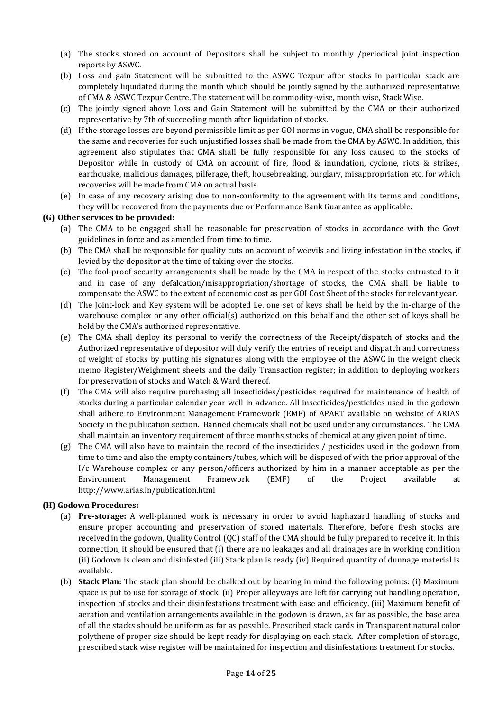- (a) The stocks stored on account of Depositors shall be subject to monthly /periodical joint inspection reports by ASWC.
- (b) Loss and gain Statement will be submitted to the ASWC Tezpur after stocks in particular stack are completely liquidated during the month which should be jointly signed by the authorized representative of CMA & ASWC Tezpur Centre. The statement will be commodity-wise, month wise, Stack Wise.
- (c) The jointly signed above Loss and Gain Statement will be submitted by the CMA or their authorized representative by 7th of succeeding month after liquidation of stocks.
- (d) If the storage losses are beyond permissible limit as per GOI norms in vogue, CMA shall be responsible for the same and recoveries for such unjustified losses shall be made from the CMA by ASWC. In addition, this agreement also stipulates that CMA shall be fully responsible for any loss caused to the stocks of Depositor while in custody of CMA on account of fire, flood & inundation, cyclone, riots & strikes, earthquake, malicious damages, pilferage, theft, housebreaking, burglary, misappropriation etc. for which recoveries will be made from CMA on actual basis.
- (e) In case of any recovery arising due to non-conformity to the agreement with its terms and conditions, they will be recovered from the payments due or Performance Bank Guarantee as applicable.

### **(G) Other services to be provided:**

- (a) The CMA to be engaged shall be reasonable for preservation of stocks in accordance with the Govt guidelines in force and as amended from time to time.
- (b) The CMA shall be responsible for quality cuts on account of weevils and living infestation in the stocks, if levied by the depositor at the time of taking over the stocks.
- (c) The fool-proof security arrangements shall be made by the CMA in respect of the stocks entrusted to it and in case of any defalcation/misappropriation/shortage of stocks, the CMA shall be liable to compensate the ASWC to the extent of economic cost as per GOI Cost Sheet of the stocks for relevant year.
- (d) The Joint-lock and Key system will be adopted i.e. one set of keys shall be held by the in-charge of the warehouse complex or any other official(s) authorized on this behalf and the other set of keys shall be held by the CMA's authorized representative.
- (e) The CMA shall deploy its personal to verify the correctness of the Receipt/dispatch of stocks and the Authorized representative of depositor will duly verify the entries of receipt and dispatch and correctness of weight of stocks by putting his signatures along with the employee of the ASWC in the weight check memo Register/Weighment sheets and the daily Transaction register; in addition to deploying workers for preservation of stocks and Watch & Ward thereof.
- (f) The CMA will also require purchasing all insecticides/pesticides required for maintenance of health of stocks during a particular calendar year well in advance. All insecticides/pesticides used in the godown shall adhere to Environment Management Framework (EMF) of APART available on website of ARIAS Society in the publication section. Banned chemicals shall not be used under any circumstances. The CMA shall maintain an inventory requirement of three months stocks of chemical at any given point of time.
- (g) The CMA will also have to maintain the record of the insecticides / pesticides used in the godown from time to time and also the empty containers/tubes, which will be disposed of with the prior approval of the I/c Warehouse complex or any person/officers authorized by him in a manner acceptable as per the Environment Management Framework (EMF) of the Project available at http://www.arias.in/publication.html

### **(H) Godown Procedures:**

- (a) **Pre-storage:** A well-planned work is necessary in order to avoid haphazard handling of stocks and ensure proper accounting and preservation of stored materials. Therefore, before fresh stocks are received in the godown, Quality Control (QC) staff of the CMA should be fully prepared to receive it. In this connection, it should be ensured that (i) there are no leakages and all drainages are in working condition (ii) Godown is clean and disinfested (iii) Stack plan is ready (iv) Required quantity of dunnage material is available.
- (b) **Stack Plan:** The stack plan should be chalked out by bearing in mind the following points: (i) Maximum space is put to use for storage of stock. (ii) Proper alleyways are left for carrying out handling operation, inspection of stocks and their disinfestations treatment with ease and efficiency. (iii) Maximum benefit of aeration and ventilation arrangements available in the godown is drawn, as far as possible, the base area of all the stacks should be uniform as far as possible. Prescribed stack cards in Transparent natural color polythene of proper size should be kept ready for displaying on each stack. After completion of storage, prescribed stack wise register will be maintained for inspection and disinfestations treatment for stocks.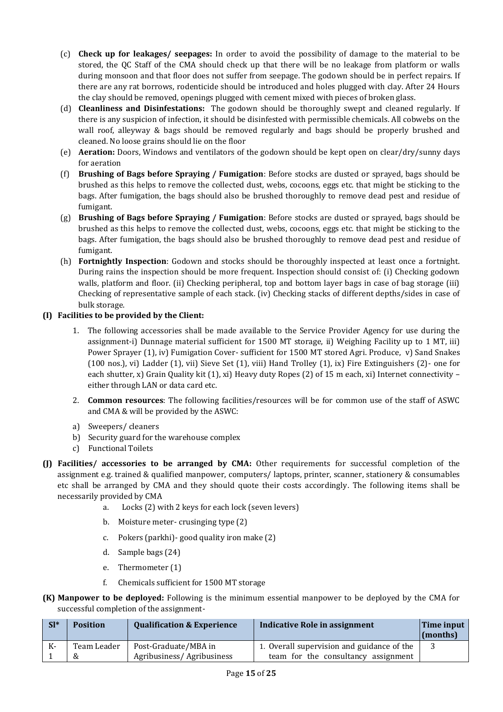- (c) **Check up for leakages/ seepages:** In order to avoid the possibility of damage to the material to be stored, the QC Staff of the CMA should check up that there will be no leakage from platform or walls during monsoon and that floor does not suffer from seepage. The godown should be in perfect repairs. If there are any rat borrows, rodenticide should be introduced and holes plugged with clay. After 24 Hours the clay should be removed, openings plugged with cement mixed with pieces of broken glass.
- (d) **Cleanliness and Disinfestations:** The godown should be thoroughly swept and cleaned regularly. If there is any suspicion of infection, it should be disinfested with permissible chemicals. All cobwebs on the wall roof, alleyway & bags should be removed regularly and bags should be properly brushed and cleaned. No loose grains should lie on the floor
- (e) **Aeration:** Doors, Windows and ventilators of the godown should be kept open on clear/dry/sunny days for aeration
- (f) **Brushing of Bags before Spraying / Fumigation**: Before stocks are dusted or sprayed, bags should be brushed as this helps to remove the collected dust, webs, cocoons, eggs etc. that might be sticking to the bags. After fumigation, the bags should also be brushed thoroughly to remove dead pest and residue of fumigant.
- (g) **Brushing of Bags before Spraying / Fumigation**: Before stocks are dusted or sprayed, bags should be brushed as this helps to remove the collected dust, webs, cocoons, eggs etc. that might be sticking to the bags. After fumigation, the bags should also be brushed thoroughly to remove dead pest and residue of fumigant.
- (h) **Fortnightly Inspection**: Godown and stocks should be thoroughly inspected at least once a fortnight. During rains the inspection should be more frequent. Inspection should consist of: (i) Checking godown walls, platform and floor. (ii) Checking peripheral, top and bottom layer bags in case of bag storage (iii) Checking of representative sample of each stack. (iv) Checking stacks of different depths/sides in case of bulk storage.

## **(I) Facilities to be provided by the Client:**

- 1. The following accessories shall be made available to the Service Provider Agency for use during the assignment-i) Dunnage material sufficient for 1500 MT storage, ii) Weighing Facility up to 1 MT, iii) Power Sprayer (1), iv) Fumigation Cover- sufficient for 1500 MT stored Agri. Produce, v) Sand Snakes (100 nos.), vi) Ladder (1), vii) Sieve Set (1), viii) Hand Trolley (1), ix) Fire Extinguishers (2)- one for each shutter, x) Grain Quality kit (1), xi) Heavy duty Ropes (2) of 15 m each, xi) Internet connectivity – either through LAN or data card etc.
- 2. **Common resources**: The following facilities/resources will be for common use of the staff of ASWC and CMA & will be provided by the ASWC:
- a) Sweepers/ cleaners
- b) Security guard for the warehouse complex
- c) Functional Toilets
- **(J) Facilities/ accessories to be arranged by CMA:** Other requirements for successful completion of the assignment e.g. trained & qualified manpower, computers/ laptops, printer, scanner, stationery & consumables etc shall be arranged by CMA and they should quote their costs accordingly. The following items shall be necessarily provided by CMA
	- a. Locks (2) with 2 keys for each lock (seven levers)
	- b. Moisture meter- crusinging type (2)
	- c. Pokers (parkhi)- good quality iron make (2)
	- d. Sample bags (24)
	- e. Thermometer (1)
	- f. Chemicals sufficient for 1500 MT storage
- **(K) Manpower to be deployed:** Following is the minimum essential manpower to be deployed by the CMA for successful completion of the assignment-

| $SI^*$ | <b>Position</b>  | <b>Qualification &amp; Experience</b>             | Indicative Role in assignment                                                     | Time input<br>(months) |
|--------|------------------|---------------------------------------------------|-----------------------------------------------------------------------------------|------------------------|
| К-     | Team Leader<br>& | Post-Graduate/MBA in<br>Agribusiness/Agribusiness | 1. Overall supervision and guidance of the<br>team for the consultancy assignment |                        |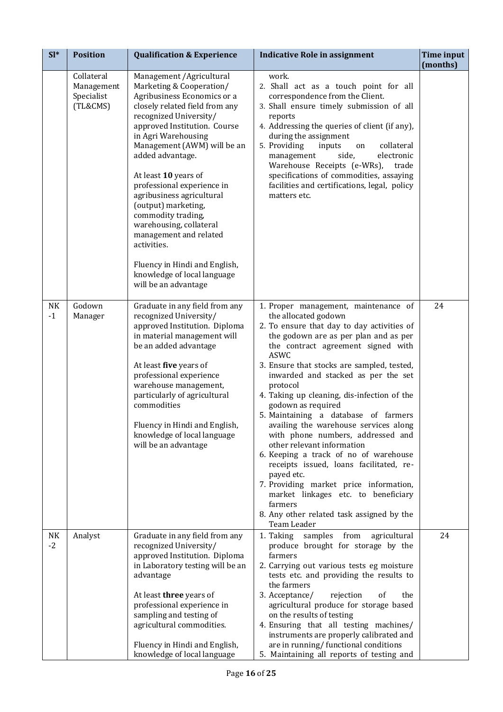| $SI*$      | <b>Position</b>                                    | <b>Qualification &amp; Experience</b>                                                                                                                                                                                                                                                                                                                                                                                                                                                                                                                  | <b>Indicative Role in assignment</b>                                                                                                                                                                                                                                                                                                                                                                                                                                                                                                                                                                                                                                                                                                                                                         | <b>Time input</b><br>(months) |
|------------|----------------------------------------------------|--------------------------------------------------------------------------------------------------------------------------------------------------------------------------------------------------------------------------------------------------------------------------------------------------------------------------------------------------------------------------------------------------------------------------------------------------------------------------------------------------------------------------------------------------------|----------------------------------------------------------------------------------------------------------------------------------------------------------------------------------------------------------------------------------------------------------------------------------------------------------------------------------------------------------------------------------------------------------------------------------------------------------------------------------------------------------------------------------------------------------------------------------------------------------------------------------------------------------------------------------------------------------------------------------------------------------------------------------------------|-------------------------------|
|            | Collateral<br>Management<br>Specialist<br>(TL&CMS) | Management / Agricultural<br>Marketing & Cooperation/<br>Agribusiness Economics or a<br>closely related field from any<br>recognized University/<br>approved Institution. Course<br>in Agri Warehousing<br>Management (AWM) will be an<br>added advantage.<br>At least 10 years of<br>professional experience in<br>agribusiness agricultural<br>(output) marketing,<br>commodity trading,<br>warehousing, collateral<br>management and related<br>activities.<br>Fluency in Hindi and English,<br>knowledge of local language<br>will be an advantage | work.<br>2. Shall act as a touch point for all<br>correspondence from the Client.<br>3. Shall ensure timely submission of all<br>reports<br>4. Addressing the queries of client (if any),<br>during the assignment<br>5. Providing<br>collateral<br>inputs<br>on<br>side,<br>electronic<br>management<br>Warehouse Receipts (e-WRs),<br>trade<br>specifications of commodities, assaying<br>facilities and certifications, legal, policy<br>matters etc.                                                                                                                                                                                                                                                                                                                                     |                               |
| NΚ<br>$-1$ | Godown<br>Manager                                  | Graduate in any field from any<br>recognized University/<br>approved Institution. Diploma<br>in material management will<br>be an added advantage<br>At least five years of<br>professional experience<br>warehouse management,<br>particularly of agricultural<br>commodities<br>Fluency in Hindi and English,<br>knowledge of local language<br>will be an advantage                                                                                                                                                                                 | 1. Proper management, maintenance of<br>the allocated godown<br>2. To ensure that day to day activities of<br>the godown are as per plan and as per<br>the contract agreement signed with<br><b>ASWC</b><br>3. Ensure that stocks are sampled, tested,<br>inwarded and stacked as per the set<br>protocol<br>4. Taking up cleaning, dis-infection of the<br>godown as required<br>5. Maintaining a database of farmers<br>availing the warehouse services along<br>with phone numbers, addressed and<br>other relevant information<br>6. Keeping a track of no of warehouse<br>receipts issued, loans facilitated, re-<br>payed etc.<br>7. Providing market price information,<br>market linkages etc. to beneficiary<br>farmers<br>8. Any other related task assigned by the<br>Team Leader | 24                            |
| NK<br>$-2$ | Analyst                                            | Graduate in any field from any<br>recognized University/<br>approved Institution. Diploma<br>in Laboratory testing will be an<br>advantage<br>At least three years of<br>professional experience in<br>sampling and testing of<br>agricultural commodities.<br>Fluency in Hindi and English,<br>knowledge of local language                                                                                                                                                                                                                            | from<br>1. Taking<br>samples<br>agricultural<br>produce brought for storage by the<br>farmers<br>2. Carrying out various tests eg moisture<br>tests etc. and providing the results to<br>the farmers<br>3. Acceptance/<br>rejection<br>the<br><sub>of</sub><br>agricultural produce for storage based<br>on the results of testing<br>4. Ensuring that all testing machines/<br>instruments are properly calibrated and<br>are in running/ functional conditions<br>5. Maintaining all reports of testing and                                                                                                                                                                                                                                                                                | 24                            |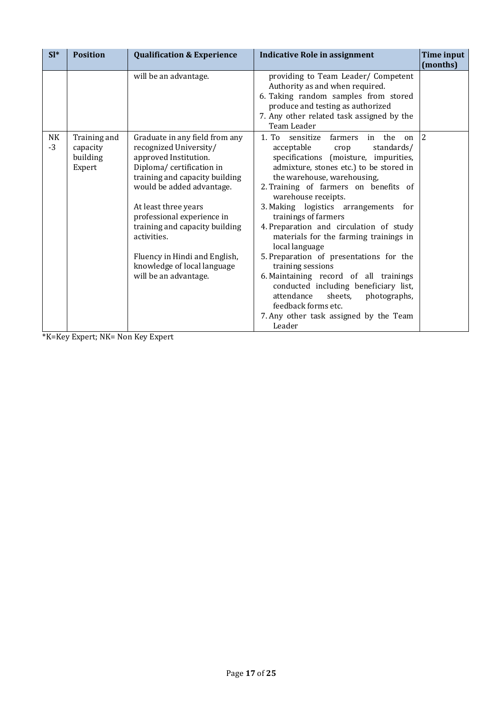| $SI*$      | <b>Position</b>                                | <b>Qualification &amp; Experience</b>                                                                                                                                                                                                                                                                                                                                        | <b>Indicative Role in assignment</b>                                                                                                                                                                                                                                                                                                                                                                                                                                                                                                                                                                                                                                                                            | Time input<br>(months) |
|------------|------------------------------------------------|------------------------------------------------------------------------------------------------------------------------------------------------------------------------------------------------------------------------------------------------------------------------------------------------------------------------------------------------------------------------------|-----------------------------------------------------------------------------------------------------------------------------------------------------------------------------------------------------------------------------------------------------------------------------------------------------------------------------------------------------------------------------------------------------------------------------------------------------------------------------------------------------------------------------------------------------------------------------------------------------------------------------------------------------------------------------------------------------------------|------------------------|
|            |                                                | will be an advantage.                                                                                                                                                                                                                                                                                                                                                        | providing to Team Leader/ Competent<br>Authority as and when required.<br>6. Taking random samples from stored<br>produce and testing as authorized<br>7. Any other related task assigned by the<br>Team Leader                                                                                                                                                                                                                                                                                                                                                                                                                                                                                                 |                        |
| NK<br>$-3$ | Training and<br>capacity<br>building<br>Expert | Graduate in any field from any<br>recognized University/<br>approved Institution.<br>Diploma/certification in<br>training and capacity building<br>would be added advantage.<br>At least three years<br>professional experience in<br>training and capacity building<br>activities.<br>Fluency in Hindi and English,<br>knowledge of local language<br>will be an advantage. | 1. To sensitize<br>farmers<br>in the<br>on<br>acceptable<br>standards/<br>crop<br>specifications (moisture, impurities,<br>admixture, stones etc.) to be stored in<br>the warehouse, warehousing,<br>2. Training of farmers on benefits of<br>warehouse receipts.<br>3. Making logistics arrangements for<br>trainings of farmers<br>4. Preparation and circulation of study<br>materials for the farming trainings in<br>local language<br>5. Preparation of presentations for the<br>training sessions<br>6. Maintaining record of all trainings<br>conducted including beneficiary list,<br>attendance<br>sheets,<br>photographs,<br>feedback forms etc.<br>7. Any other task assigned by the Team<br>Leader | $ 2\rangle$            |

\*K=Key Expert; NK= Non Key Expert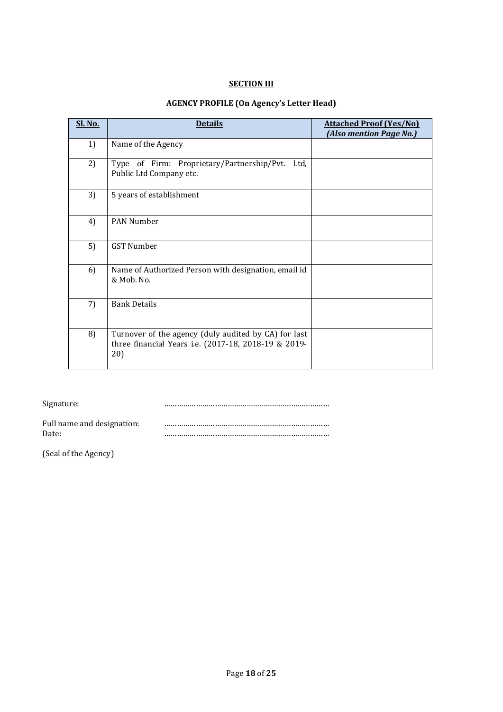### **SECTION III**

# **AGENCY PROFILE (On Agency's Letter Head)**

| <b>Sl. No.</b> | <b>Details</b>                                                                                                      | <b>Attached Proof (Yes/No)</b><br>(Also mention Page No.) |
|----------------|---------------------------------------------------------------------------------------------------------------------|-----------------------------------------------------------|
| 1)             | Name of the Agency                                                                                                  |                                                           |
| 2)             | Type of Firm: Proprietary/Partnership/Pvt.<br>Ltd.<br>Public Ltd Company etc.                                       |                                                           |
| 3)             | 5 years of establishment                                                                                            |                                                           |
| 4)             | <b>PAN Number</b>                                                                                                   |                                                           |
| 5)             | <b>GST Number</b>                                                                                                   |                                                           |
| 6)             | Name of Authorized Person with designation, email id<br>& Mob. No.                                                  |                                                           |
| 7)             | <b>Bank Details</b>                                                                                                 |                                                           |
| 8)             | Turnover of the agency (duly audited by CA) for last<br>three financial Years i.e. (2017-18, 2018-19 & 2019-<br>20) |                                                           |

Signature: **manual constants and constants and constants and constants and constants and constants and constants and constants and constants and constants and constants and constants and constants and constants and constan** 

| Full name and designation: |  |
|----------------------------|--|
| Date:                      |  |

(Seal of the Agency)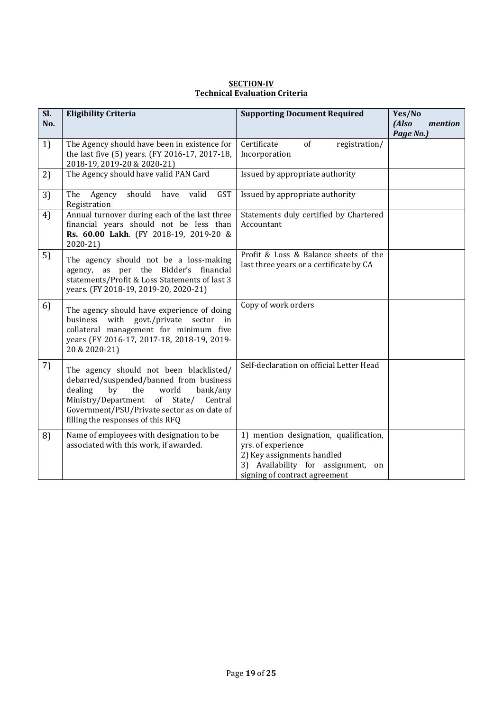| <b>SECTION-IV</b>                    |
|--------------------------------------|
| <b>Technical Evaluation Criteria</b> |

| Sl.<br>No. | <b>Eligibility Criteria</b>                                                                                                                                                                                                                                     | <b>Supporting Document Required</b>                                                                                                                                     | Yes/No<br>(Also<br>mention |
|------------|-----------------------------------------------------------------------------------------------------------------------------------------------------------------------------------------------------------------------------------------------------------------|-------------------------------------------------------------------------------------------------------------------------------------------------------------------------|----------------------------|
| 1)         | The Agency should have been in existence for<br>the last five (5) years. (FY 2016-17, 2017-18,<br>2018-19, 2019-20 & 2020-21)                                                                                                                                   | Certificate<br>of<br>registration/<br>Incorporation                                                                                                                     | Page No.)                  |
| 2)         | The Agency should have valid PAN Card                                                                                                                                                                                                                           | Issued by appropriate authority                                                                                                                                         |                            |
| 3)         | should<br><b>GST</b><br>valid<br>The<br>Agency<br>have<br>Registration                                                                                                                                                                                          | Issued by appropriate authority                                                                                                                                         |                            |
| 4)         | Annual turnover during each of the last three<br>financial years should not be less than<br>Rs. 60.00 Lakh. (FY 2018-19, 2019-20 &<br>2020-21)                                                                                                                  | Statements duly certified by Chartered<br>Accountant                                                                                                                    |                            |
| 5)         | The agency should not be a loss-making<br>agency, as per the Bidder's financial<br>statements/Profit & Loss Statements of last 3<br>years. (FY 2018-19, 2019-20, 2020-21)                                                                                       | Profit & Loss & Balance sheets of the<br>last three years or a certificate by CA                                                                                        |                            |
| 6)         | The agency should have experience of doing<br>business with govt./private sector<br>in<br>collateral management for minimum five<br>years (FY 2016-17, 2017-18, 2018-19, 2019-<br>20 & 2020-21)                                                                 | Copy of work orders                                                                                                                                                     |                            |
| 7)         | The agency should not been blacklisted/<br>debarred/suspended/banned from business<br>dealing<br>the<br>by<br>world<br>bank/any<br>Ministry/Department<br>of State/ Central<br>Government/PSU/Private sector as on date of<br>filling the responses of this RFQ | Self-declaration on official Letter Head                                                                                                                                |                            |
| 8)         | Name of employees with designation to be<br>associated with this work, if awarded.                                                                                                                                                                              | 1) mention designation, qualification,<br>yrs. of experience<br>2) Key assignments handled<br>3)<br>Availability for assignment,<br>on<br>signing of contract agreement |                            |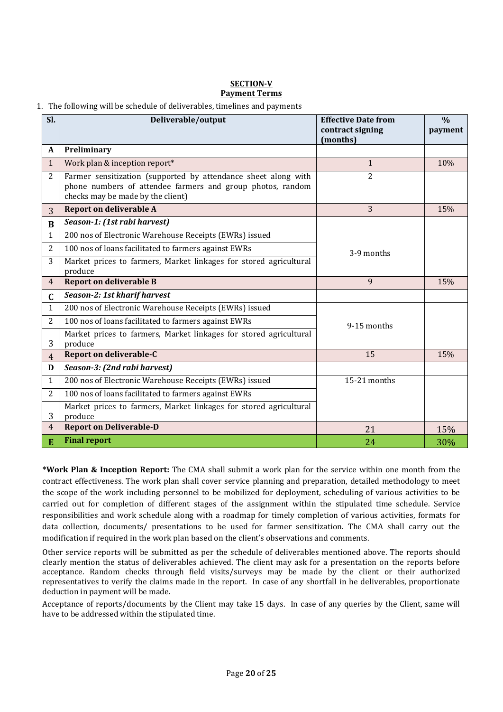### **SECTION-V Payment Terms**

### 1. The following will be schedule of deliverables, timelines and payments

| Sl.            | Deliverable/output                                                                                                                                                | <b>Effective Date from</b><br>contract signing<br>(months) | $\frac{0}{0}$<br>payment |
|----------------|-------------------------------------------------------------------------------------------------------------------------------------------------------------------|------------------------------------------------------------|--------------------------|
| A              | Preliminary                                                                                                                                                       |                                                            |                          |
| $\mathbf{1}$   | Work plan & inception report*                                                                                                                                     | $\mathbf{1}$                                               | 10%                      |
| $\overline{2}$ | Farmer sensitization (supported by attendance sheet along with<br>phone numbers of attendee farmers and group photos, random<br>checks may be made by the client) | $\overline{2}$                                             |                          |
| 3              | Report on deliverable A                                                                                                                                           | 3                                                          | 15%                      |
| $\bf{B}$       | Season-1: (1st rabi harvest)                                                                                                                                      |                                                            |                          |
| $\mathbf{1}$   | 200 nos of Electronic Warehouse Receipts (EWRs) issued                                                                                                            |                                                            |                          |
| $\overline{2}$ | 100 nos of loans facilitated to farmers against EWRs                                                                                                              | 3-9 months                                                 |                          |
| 3              | Market prices to farmers, Market linkages for stored agricultural<br>produce                                                                                      |                                                            |                          |
| $\overline{4}$ | <b>Report on deliverable B</b>                                                                                                                                    | 9                                                          | 15%                      |
| $\mathbf C$    | Season-2: 1st kharif harvest                                                                                                                                      |                                                            |                          |
| $\mathbf{1}$   | 200 nos of Electronic Warehouse Receipts (EWRs) issued                                                                                                            |                                                            |                          |
| $\overline{2}$ | 100 nos of loans facilitated to farmers against EWRs                                                                                                              | 9-15 months                                                |                          |
| 3              | Market prices to farmers, Market linkages for stored agricultural<br>produce                                                                                      |                                                            |                          |
| $\overline{4}$ | Report on deliverable-C                                                                                                                                           | 15                                                         | 15%                      |
| D              | Season-3: (2nd rabi harvest)                                                                                                                                      |                                                            |                          |
| $\mathbf{1}$   | 200 nos of Electronic Warehouse Receipts (EWRs) issued                                                                                                            | 15-21 months                                               |                          |
| 2              | 100 nos of loans facilitated to farmers against EWRs                                                                                                              |                                                            |                          |
| 3              | Market prices to farmers, Market linkages for stored agricultural<br>produce                                                                                      |                                                            |                          |
| $\overline{4}$ | <b>Report on Deliverable-D</b>                                                                                                                                    | 21                                                         | 15%                      |
| E              | <b>Final report</b>                                                                                                                                               | 24                                                         | 30%                      |

**\*Work Plan & Inception Report:** The CMA shall submit a work plan for the service within one month from the contract effectiveness. The work plan shall cover service planning and preparation, detailed methodology to meet the scope of the work including personnel to be mobilized for deployment, scheduling of various activities to be carried out for completion of different stages of the assignment within the stipulated time schedule. Service responsibilities and work schedule along with a roadmap for timely completion of various activities, formats for data collection, documents/ presentations to be used for farmer sensitization. The CMA shall carry out the modification if required in the work plan based on the client's observations and comments.

Other service reports will be submitted as per the schedule of deliverables mentioned above. The reports should clearly mention the status of deliverables achieved. The client may ask for a presentation on the reports before acceptance. Random checks through field visits/surveys may be made by the client or their authorized representatives to verify the claims made in the report. In case of any shortfall in he deliverables, proportionate deduction in payment will be made.

Acceptance of reports/documents by the Client may take 15 days. In case of any queries by the Client, same will have to be addressed within the stipulated time.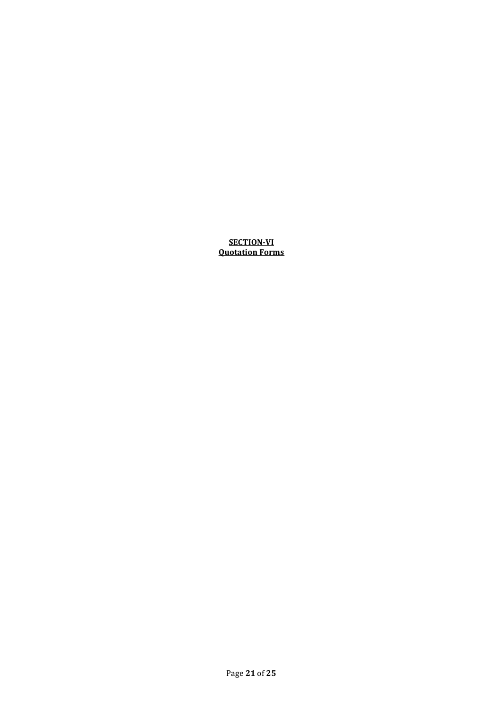### **SECTION-VI Quotation Forms**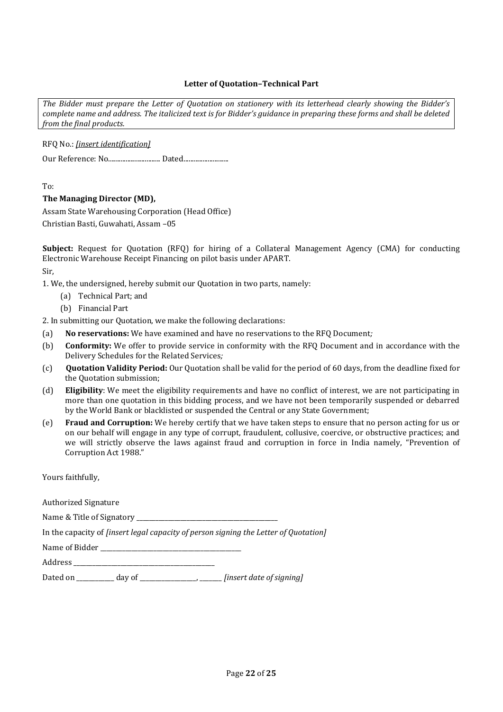### **Letter of Quotation–Technical Part**

*The Bidder must prepare the Letter of Quotation on stationery with its letterhead clearly showing the Bidder's complete name and address. The italicized text is for Bidder's guidance in preparing these forms and shall be deleted from the final products.*

RFQ No.: *[insert identification]*

Our Reference: No.............................. Dated..........................

To:

### **The Managing Director (MD),**

Assam State Warehousing Corporation (Head Office) Christian Basti, Guwahati, Assam –05

**Subject:** Request for Quotation (RFQ) for hiring of a Collateral Management Agency (CMA) for conducting Electronic Warehouse Receipt Financing on pilot basis under APART.

Sir,

1. We, the undersigned, hereby submit our Quotation in two parts, namely:

- (a) Technical Part; and
- (b) Financial Part

2. In submitting our Quotation, we make the following declarations:

- (a) **No reservations:** We have examined and have no reservations to the RFQ Document*;*
- (b) **Conformity:** We offer to provide service in conformity with the RFQ Document and in accordance with the Delivery Schedules for the Related Services*;*
- (c) **Quotation Validity Period:** Our Quotation shall be valid for the period of 60 days, from the deadline fixed for the Quotation submission;
- (d) **Eligibility**: We meet the eligibility requirements and have no conflict of interest, we are not participating in more than one quotation in this bidding process, and we have not been temporarily suspended or debarred by the World Bank or blacklisted or suspended the Central or any State Government;
- (e) **Fraud and Corruption:** We hereby certify that we have taken steps to ensure that no person acting for us or on our behalf will engage in any type of corrupt, fraudulent, collusive, coercive, or obstructive practices; and we will strictly observe the laws against fraud and corruption in force in India namely, "Prevention of Corruption Act 1988."

Yours faithfully,

Authorized Signature

Name & Title of Signatory

In the capacity of *[insert legal capacity of person signing the Letter of Quotation]*

Name of Bidder \_\_\_\_\_\_\_\_\_\_\_\_\_\_\_\_\_\_\_\_\_\_\_\_\_\_\_\_\_\_\_\_\_\_\_\_\_\_\_\_\_\_\_\_\_

Address \_\_\_\_\_\_\_\_\_\_\_\_\_\_\_\_\_\_\_\_\_\_\_\_\_\_\_\_\_\_\_\_\_\_\_\_\_\_\_\_\_\_\_\_\_

Dated on \_\_\_\_\_\_\_\_\_\_\_\_ day of \_\_\_\_\_\_\_\_\_\_\_\_\_\_\_\_\_\_, \_\_\_\_\_\_\_ *[insert date of signing]*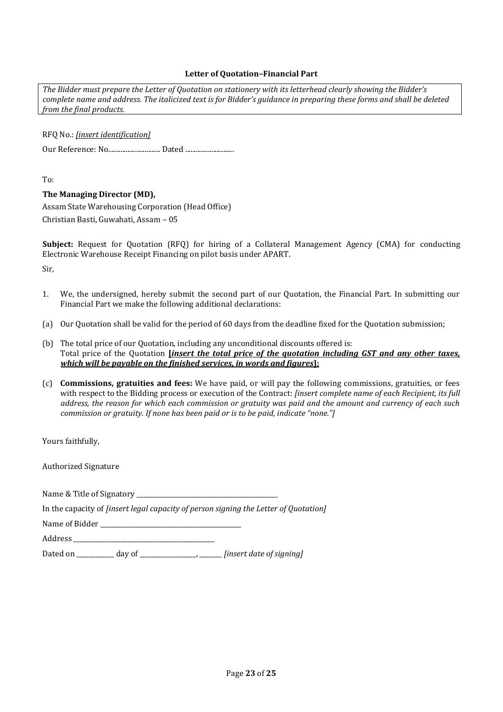### **Letter of Quotation–Financial Part**

*The Bidder must prepare the Letter of Quotation on stationery with its letterhead clearly showing the Bidder's complete name and address. The italicized text is for Bidder's guidance in preparing these forms and shall be deleted from the final products.*

RFQ No.: *[insert identification]*

Our Reference: No.............................. Dated ............................

To:

### **The Managing Director (MD),**

Assam State Warehousing Corporation (Head Office) Christian Basti, Guwahati, Assam – 05

**Subject:** Request for Quotation (RFQ) for hiring of a Collateral Management Agency (CMA) for conducting Electronic Warehouse Receipt Financing on pilot basis under APART.

Sir,

- 1. We, the undersigned, hereby submit the second part of our Quotation, the Financial Part. In submitting our Financial Part we make the following additional declarations:
- (a) Our Quotation shall be valid for the period of 60 days from the deadline fixed for the Quotation submission;
- (b) The total price of our Quotation, including any unconditional discounts offered is: Total price of the Quotation **[***insert the total price of the quotation including GST and any other taxes, which will be payable on the finished services, in words and figures***];**
- (c) **Commissions, gratuities and fees:** We have paid, or will pay the following commissions, gratuities, or fees with respect to the Bidding process or execution of the Contract: *[insert complete name of each Recipient, its full address, the reason for which each commission or gratuity was paid and the amount and currency of each such commission or gratuity. If none has been paid or is to be paid, indicate "none."]*

Yours faithfully,

Authorized Signature

Name & Title of Signatory \_\_\_\_\_\_\_\_\_\_\_\_\_\_\_\_\_\_\_\_\_\_\_\_\_\_\_\_\_\_\_\_\_\_\_\_\_\_\_\_\_\_\_\_\_

In the capacity of *[insert legal capacity of person signing the Letter of Quotation]*

Name of Bidder

Address \_\_\_\_\_\_\_\_\_\_\_\_\_\_\_\_\_\_\_\_\_\_\_\_\_\_\_\_\_\_\_\_\_\_\_\_\_\_\_\_\_\_\_\_\_

Dated on \_\_\_\_\_\_\_\_\_\_\_\_ day of \_\_\_\_\_\_\_\_\_\_\_\_\_\_\_\_\_\_, \_\_\_\_\_\_\_ *[insert date of signing]*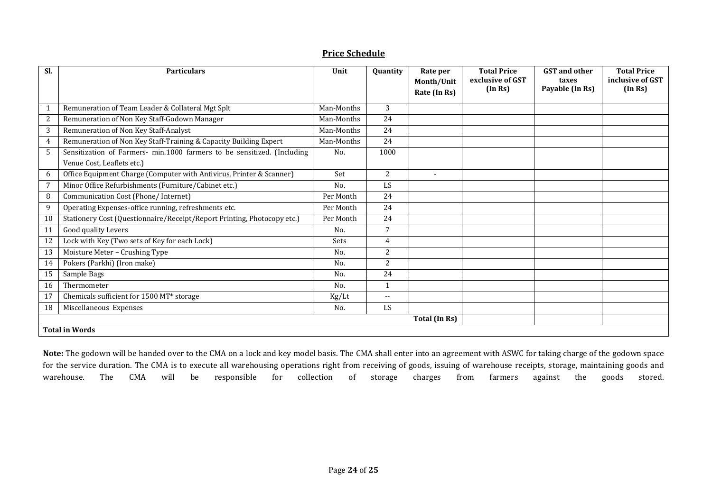| SI. | <b>Particulars</b>                                                                                    | Unit       | <b>Quantity</b>          | Rate per<br>Month/Unit<br>Rate (In Rs) | <b>Total Price</b><br>exclusive of GST<br>(In Rs) | <b>GST</b> and other<br>taxes<br>Payable (In Rs) | <b>Total Price</b><br>inclusive of GST<br>(In Rs) |
|-----|-------------------------------------------------------------------------------------------------------|------------|--------------------------|----------------------------------------|---------------------------------------------------|--------------------------------------------------|---------------------------------------------------|
| 1   | Remuneration of Team Leader & Collateral Mgt Splt                                                     | Man-Months | 3                        |                                        |                                                   |                                                  |                                                   |
| 2   | Remuneration of Non Key Staff-Godown Manager                                                          | Man-Months | 24                       |                                        |                                                   |                                                  |                                                   |
| 3   | Remuneration of Non Key Staff-Analyst                                                                 | Man-Months | 24                       |                                        |                                                   |                                                  |                                                   |
| 4   | Remuneration of Non Key Staff-Training & Capacity Building Expert                                     | Man-Months | 24                       |                                        |                                                   |                                                  |                                                   |
| 5   | Sensitization of Farmers- min.1000 farmers to be sensitized. (Including<br>Venue Cost, Leaflets etc.) | No.        | 1000                     |                                        |                                                   |                                                  |                                                   |
| 6   | Office Equipment Charge (Computer with Antivirus, Printer & Scanner)                                  | Set        | 2                        | $\blacksquare$                         |                                                   |                                                  |                                                   |
| 7   | Minor Office Refurbishments (Furniture/Cabinet etc.)                                                  | No.        | LS                       |                                        |                                                   |                                                  |                                                   |
| 8   | Communication Cost (Phone/Internet)                                                                   | Per Month  | 24                       |                                        |                                                   |                                                  |                                                   |
| 9   | Operating Expenses-office running, refreshments etc.                                                  | Per Month  | 24                       |                                        |                                                   |                                                  |                                                   |
| 10  | Stationery Cost (Questionnaire/Receipt/Report Printing, Photocopy etc.)                               | Per Month  | 24                       |                                        |                                                   |                                                  |                                                   |
| 11  | Good quality Levers                                                                                   | No.        | 7                        |                                        |                                                   |                                                  |                                                   |
| 12  | Lock with Key (Two sets of Key for each Lock)                                                         | Sets       | $\overline{4}$           |                                        |                                                   |                                                  |                                                   |
| 13  | Moisture Meter - Crushing Type                                                                        | No.        | $\overline{2}$           |                                        |                                                   |                                                  |                                                   |
| 14  | Pokers (Parkhi) (Iron make)                                                                           | No.        | $\overline{2}$           |                                        |                                                   |                                                  |                                                   |
| 15  | Sample Bags                                                                                           | No.        | 24                       |                                        |                                                   |                                                  |                                                   |
| 16  | Thermometer                                                                                           | No.        | $\mathbf{1}$             |                                        |                                                   |                                                  |                                                   |
| 17  | Chemicals sufficient for 1500 MT* storage                                                             | Kg/Lt      | $\overline{\phantom{a}}$ |                                        |                                                   |                                                  |                                                   |
| 18  | Miscellaneous Expenses                                                                                | No.        | LS                       |                                        |                                                   |                                                  |                                                   |
|     |                                                                                                       |            |                          | Total (In Rs)                          |                                                   |                                                  |                                                   |
|     | <b>Total in Words</b>                                                                                 |            |                          |                                        |                                                   |                                                  |                                                   |

## **Price Schedule**

**Note:** The godown will be handed over to the CMA on a lock and key model basis. The CMA shall enter into an agreement with ASWC for taking charge of the godown space for the service duration. The CMA is to execute all warehousing operations right from receiving of goods, issuing of warehouse receipts, storage, maintaining goods and warehouse. The CMA will be responsible for collection of storage charges from farmers against the goods stored.